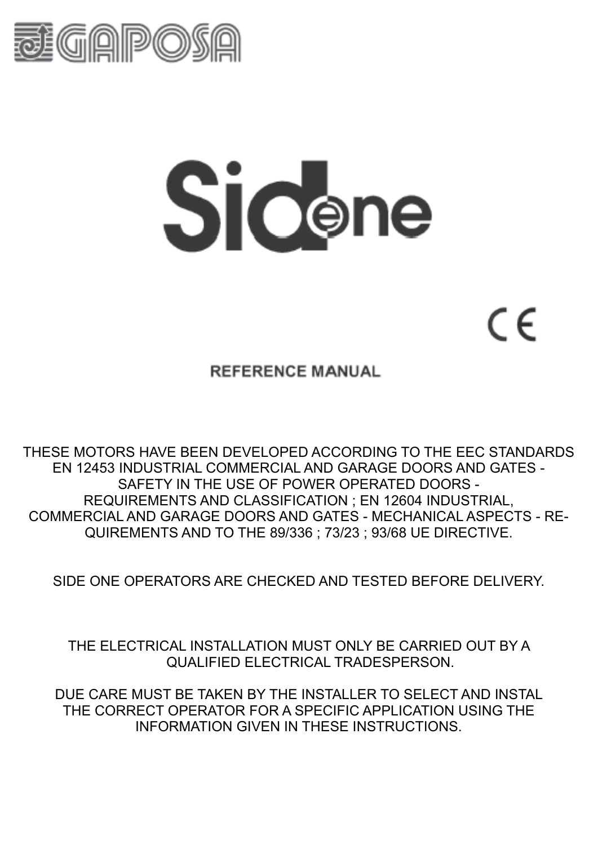

# Sicene

 $\in$ 

**REFERENCE MANUAL** 

THESE MOTORS HAVE BEEN DEVELOPED ACCORDING TO THE EEC STANDARDS EN 12453 INDUSTRIAL COMMERCIAL AND GARAGE DOORS AND GATES - SAFETY IN THE USE OF POWER OPERATED DOORS - REQUIREMENTS AND CLASSIFICATION ; EN 12604 INDUSTRIAL, COMMERCIAL AND GARAGE DOORS AND GATES - MECHANICAL ASPECTS - RE-QUIREMENTS AND TO THE 89/336 ; 73/23 ; 93/68 UE DIRECTIVE.

SIDE ONE OPERATORS ARE CHECKED AND TESTED BEFORE DELIVERY.

THE ELECTRICAL INSTALLATION MUST ONLY BE CARRIED OUT BY A QUALIFIED ELECTRICAL TRADESPERSON.

DUE CARE MUST BE TAKEN BY THE INSTALLER TO SELECT AND INSTAL THE CORRECT OPERATOR FOR A SPECIFIC APPLICATION USING THE INFORMATION GIVEN IN THESE INSTRUCTIONS.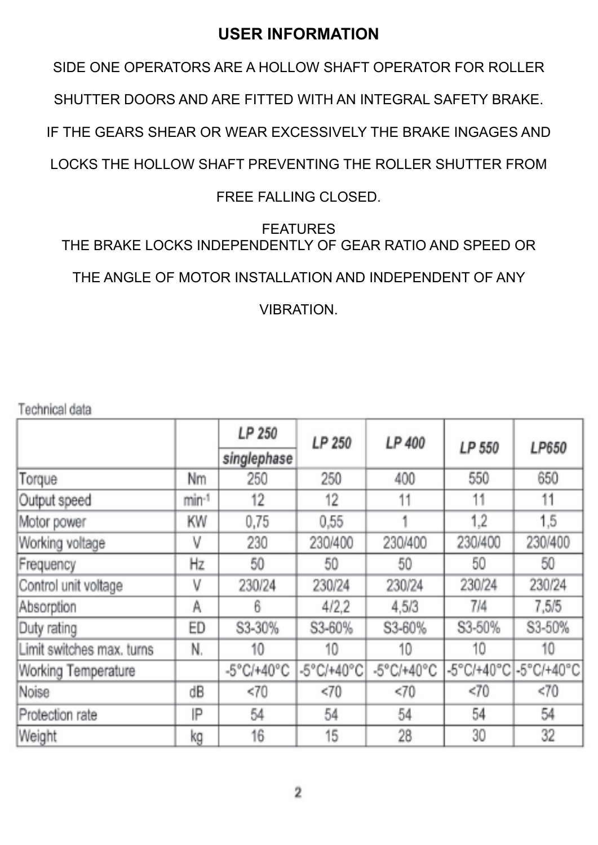# **USER INFORMATION**

SIDE ONE OPERATORS ARE A HOLLOW SHAFT OPERATOR FOR ROLLER

SHUTTER DOORS AND ARE FITTED WITH AN INTEGRAL SAFETY BRAKE.

IF THE GEARS SHEAR OR WEAR EXCESSIVELY THE BRAKE INGAGES AND

LOCKS THE HOLLOW SHAFT PREVENTING THE ROLLER SHUTTER FROM

# FREE FALLING CLOSED.

# FEATURES THE BRAKE LOCKS INDEPENDENTLY OF GEAR RATIO AND SPEED OR

THE ANGLE OF MOTOR INSTALLATION AND INDEPENDENT OF ANY

VIBRATION.

Technical data

|                           |       | LP 250      | LP 250     | LP 400     |         |                       |
|---------------------------|-------|-------------|------------|------------|---------|-----------------------|
|                           |       | singlephase |            |            | LP 550  | LP650                 |
| Torque                    | Nm    | 250         | 250        | 400        | 550     | 650                   |
| Output speed              | min-1 | $12 \,$     | 12         | 11         | 11      | 11                    |
| Motor power               | KW    | 0,75        | 0,55       |            | 1.2     | 1,5                   |
| Working voltage           | ۷     | 230         | 230/400    | 230/400    | 230/400 | 230/400               |
| Frequency                 | Hz    | 50          | 50         | 50         | 50      | 50                    |
| Control unit voltage      | ۷     | 230/24      | 230/24     | 230/24     | 230/24  | 230/24                |
| Absorption                | A     | 6           | 4/2,2      | 4,5/3      | 7/4     | 7,5/5                 |
| Duty rating               | ED    | S3-30%      | S3-60%     | S3-60%     | S3-50%  | S3-50%                |
| Limit switches max, turns | N.    | 10          | 10         | 10         | 10      | 10                    |
| Working Temperature       |       | -5°C/+40°C  | -5°C/+40°C | -5°C/+40°C |         | -5°C/+40°C -5°C/+40°C |
| Noise                     | dB    | < 70        | <70        | <70        | < 70    | <70                   |
| Protection rate           | IP    | 54          | 54         | 54         | 54      | 54                    |
| Weight                    | kg    | 16          | 15         | 28.        | 30      | 32                    |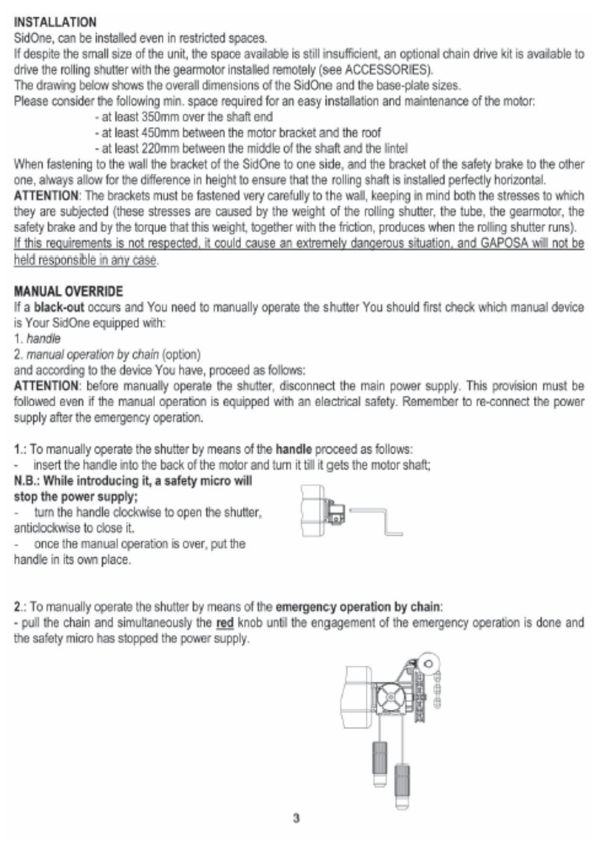## **INSTALLATION**

SidOne, can be installed even in restricted spaces,

If despite the small size of the unit, the space available is still insufficient, an optional chain drive kit is available to drive the rolling shutter with the gearmotor installed remotely (see ACCESSORIES).

The drawing below shows the overall dimensions of the SidOne and the base-plate sizes.

Please consider the following min. space required for an easy installation and maintenance of the motor:

- at least 350mm over the shaft end
- at least 450mm between the motor bracket and the roof
- at least 220mm between the middle of the shaft and the lintel

When fastening to the wall the bracket of the SidOne to one side, and the bracket of the safety brake to the other one, always allow for the difference in height to ensure that the rolling shaft is installed perfectly horizontal.

ATTENTION: The brackets must be fastened very carefully to the wall, keeping in mind both the stresses to which they are subjected (these stresses are caused by the weight of the rolling shutter, the tube, the gearmotor, the safety brake and by the torque that this weight, together with the friction, produces when the rolling shutter runs). If this requirements is not respected, it could cause an extremely dangerous situation, and GAPOSA will not be held responsible in any case.

# **MANUAL OVERRIDE**

If a black-out occurs and You need to manually operate the shutter You should first check which manual device is Your SidOne equipped with:

1. handle

2. manual operation by chain (option)

and according to the device You have, proceed as follows:

ATTENTION: before manually operate the shutter, disconnect the main power supply. This provision must be followed even if the manual operation is equipped with an electrical safety. Remember to re-connect the power supply after the emergency operation.

1.: To manually operate the shutter by means of the handle proceed as follows:

insert the handle into the back of the motor and turn it till it gets the motor shaft;

#### N.B.: While introducing it, a safety micro will stop the power supply;

turn the handle clockwise to open the shutter.

- anticlockwise to close it.
- once the manual operation is over, put the
- handle in its own place.



2.: To manually operate the shutter by means of the emergency operation by chain:

- pull the chain and simultaneously the red knob until the engagement of the emergency operation is done and the safety micro has stopped the power supply.

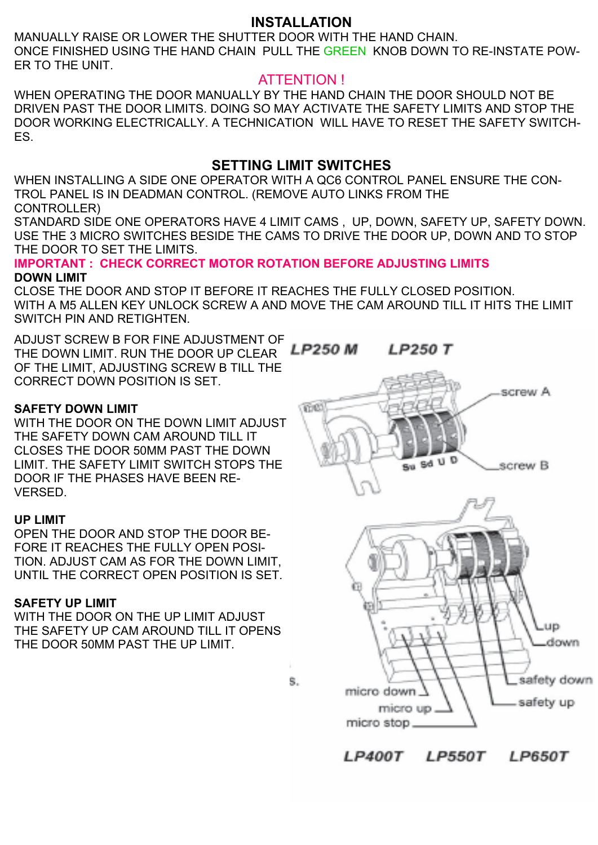## **INSTALLATION**

MANUALLY RAISE OR LOWER THE SHUTTER DOOR WITH THE HAND CHAIN. ONCE FINISHED USING THE HAND CHAIN PULL THE GREEN KNOB DOWN TO RE-INSTATE POW-ER TO THE UNIT.

## ATTENTION !

WHEN OPERATING THE DOOR MANUALLY BY THE HAND CHAIN THE DOOR SHOULD NOT BE DRIVEN PAST THE DOOR LIMITS. DOING SO MAY ACTIVATE THE SAFETY LIMITS AND STOP THE DOOR WORKING ELECTRICALLY. A TECHNICATION WILL HAVE TO RESET THE SAFETY SWITCH-ES.

## **SETTING LIMIT SWITCHES**

WHEN INSTALLING A SIDE ONE OPERATOR WITH A QC6 CONTROL PANEL ENSURE THE CON-TROL PANEL IS IN DEADMAN CONTROL. (REMOVE AUTO LINKS FROM THE CONTROLLER)

STANDARD SIDE ONE OPERATORS HAVE 4 LIMIT CAMS , UP, DOWN, SAFETY UP, SAFETY DOWN. USE THE 3 MICRO SWITCHES BESIDE THE CAMS TO DRIVE THE DOOR UP, DOWN AND TO STOP THE DOOR TO SET THE LIMITS.

**IMPORTANT : CHECK CORRECT MOTOR ROTATION BEFORE ADJUSTING LIMITS DOWN LIMIT** 

CLOSE THE DOOR AND STOP IT BEFORE IT REACHES THE FULLY CLOSED POSITION. WITH A M5 ALLEN KEY UNLOCK SCREW A AND MOVE THE CAM AROUND TILL IT HITS THE LIMIT SWITCH PIN AND RETIGHTEN.

ADJUST SCREW B FOR FINE ADJUSTMENT OF THE DOWN LIMIT. RUN THE DOOR UP CLEAR OF THE LIMIT, ADJUSTING SCREW B TILL THE CORRECT DOWN POSITION IS SET.

#### **SAFETY DOWN LIMIT**

WITH THE DOOR ON THE DOWN LIMIT ADJUST THE SAFETY DOWN CAM AROUND TILL IT CLOSES THE DOOR 50MM PAST THE DOWN LIMIT. THE SAFETY LIMIT SWITCH STOPS THE DOOR IF THE PHASES HAVE BEEN RE-VERSED.

#### **UP LIMIT**

OPEN THE DOOR AND STOP THE DOOR BE-FORE IT REACHES THE FULLY OPEN POSI-TION. ADJUST CAM AS FOR THE DOWN LIMIT, UNTIL THE CORRECT OPEN POSITION IS SET.

#### **SAFETY UP LIMIT**

WITH THE DOOR ON THE UP LIMIT ADJUST THE SAFETY UP CAM AROUND TILL IT OPENS THE DOOR 50MM PAST THE UP LIMIT.



*LP400T* **LP550T LP650T**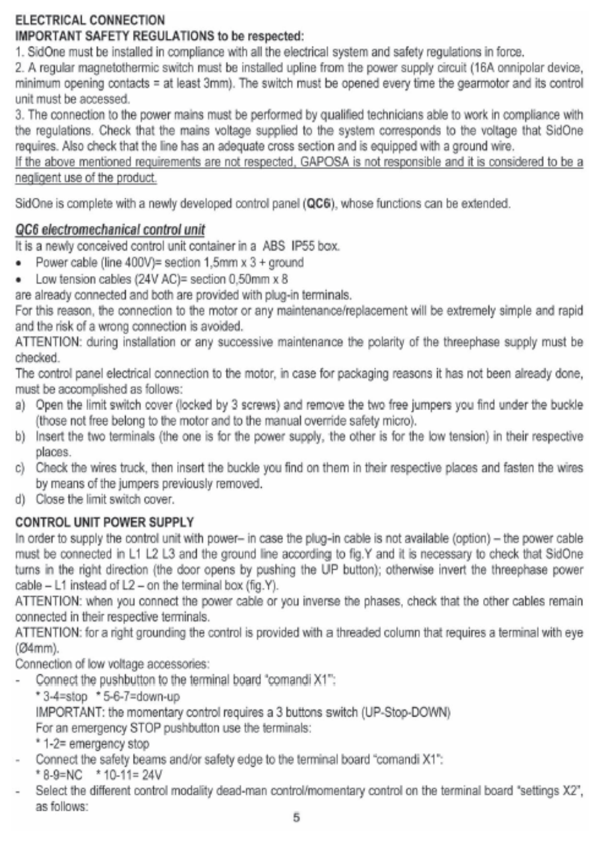# ELECTRICAL CONNECTION

# **IMPORTANT SAFETY REGULATIONS to be respected:**

1. SidOne must be installed in compliance with all the electrical system and safety regulations in force.

2. A regular magnetothermic switch must be installed upline from the power supply circuit (16A onnipolar device, minimum opening contacts = at least 3mm). The switch must be opened every time the gearmotor and its control unit must be accessed.

3. The connection to the power mains must be performed by qualified technicians able to work in compliance with the requiations. Check that the mains voltage supplied to the system corresponds to the voltage that SidOne requires. Also check that the line has an adequate cross section and is equipped with a ground wire.

If the above mentioned requirements are not respected. GAPOSA is not responsible and it is considered to be a negligent use of the product.

SidOne is complete with a newly developed control panel (QC6), whose functions can be extended.

# QC6 electromechanical control unit

It is a newly conceived control unit container in a ABS IP55 box.

- Power cable (line 400V)= section 1,5mm x 3 + ground ٠
- Low tension cables (24V AC)= section 0,50mm x 8 ۰

are already connected and both are provided with plug-in terminals.

For this reason, the connection to the motor or any maintenance/replacement will be extremely simple and rapid and the risk of a wrong connection is avoided.

ATTENTION: during installation or any successive maintenance the polarity of the threephase supply must be checked.

The control panel electrical connection to the motor, in case for packaging reasons it has not been already done, must be accomplished as follows:

- a) Open the limit switch cover (locked by 3 screws) and remove the two free jumpers you find under the buckle (those not free belong to the motor and to the manual override safety micro).
- b) Insert the two terminals (the one is for the power supply, the other is for the low tension) in their respective places.
- c) Check the wires truck, then insert the buckle you find on them in their respective places and fasten the wires by means of the jumpers previously removed.
- d) Close the limit switch cover.

# CONTROL UNIT POWER SUPPLY

In order to supply the control unit with power- in case the plug-in cable is not available (option) - the power cable must be connected in L1 L2 L3 and the ground line according to fig.Y and it is necessary to check that SidOne turns in the right direction (the door opens by pushing the UP button); otherwise invert the threephase power cable - L1 instead of L2 - on the terminal box (fig.Y).

ATTENTION: when you connect the power cable or you inverse the phases, check that the other cables remain connected in their respective terminals.

ATTENTION: for a right grounding the control is provided with a threaded column that requires a terminal with eye (Ø4mm).

Connection of low voltage accessories:

- Connect the pushbutton to the terminal board "comandi X1":
	- \*3-4=stop \*5-6-7=down-up

IMPORTANT: the momentary control requires a 3 buttons switch (UP-Stop-DOWN)

For an emergency STOP pushbutton use the terminals:

- \* 1-2= emergency stop
- Connect the safety beams and/or safety edge to the terminal board "comandi X1":
- \* 8-9=NC \* 10-11= 24V
- Select the different control modality dead-man control/momentary control on the terminal board "settings X2", as follows: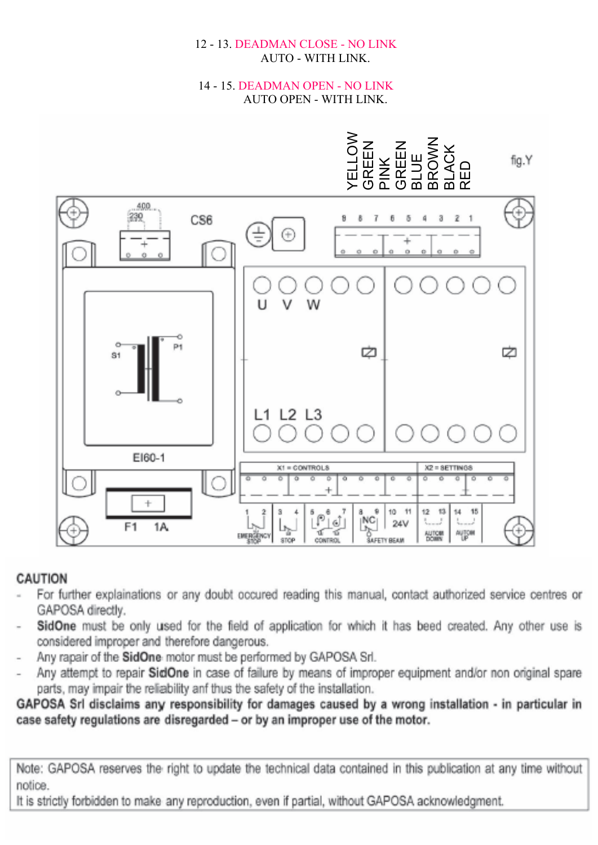#### 12 - 13. DEADMAN CLOSE - NO LINK **AUTO - WITH LINK.**

#### 14 - 15. DEADMAN OPEN - NO LINK **AUTO OPEN - WITH LINK.**



## **CAUTION**

- For further explainations or any doubt occured reading this manual, contact authorized service centres or GAPOSA directly.
- SidOne must be only used for the field of application for which it has beed created. Any other use is considered improper and therefore dangerous.
- Any rapair of the SidOne motor must be performed by GAPOSA Srl.
- Any attempt to repair SidOne in case of failure by means of improper equipment and/or non original spare parts, may impair the reliability anf thus the safety of the installation.

GAPOSA Srl disclaims any responsibility for damages caused by a wrong installation - in particular in case safety regulations are disregarded - or by an improper use of the motor.

Note: GAPOSA reserves the right to update the technical data contained in this publication at any time without notice.

It is strictly forbidden to make any reproduction, even if partial, without GAPOSA acknowledgment.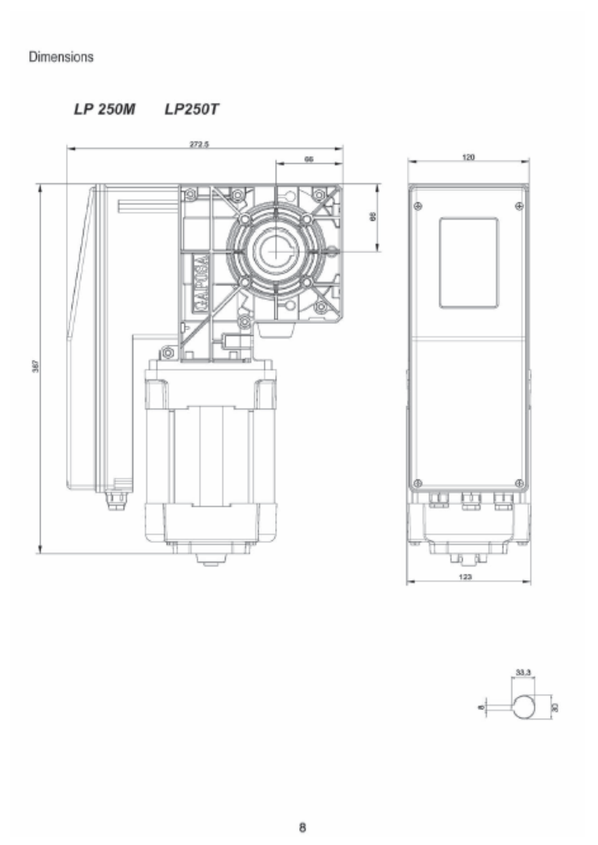# Dimensions

LP 250M LP250T